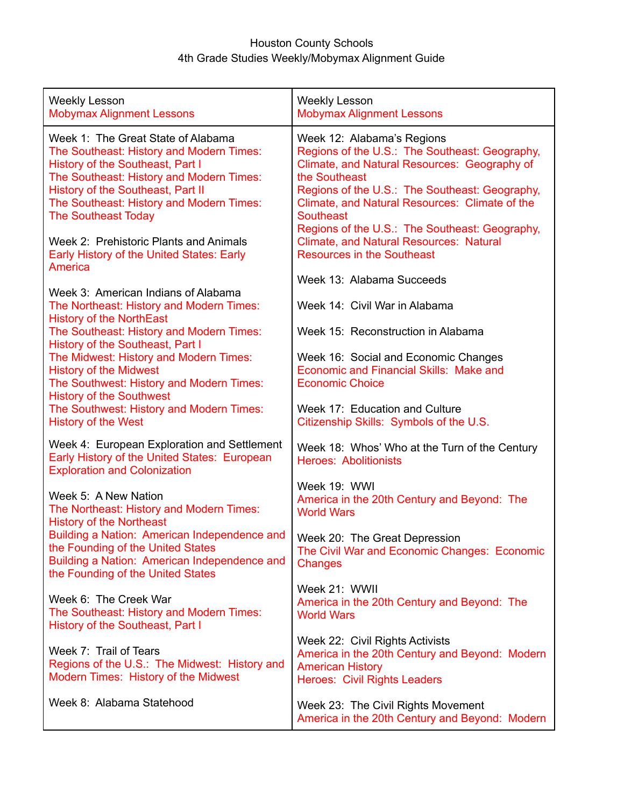## Houston County Schools 4th Grade Studies Weekly/Mobymax Alignment Guide

| <b>Weekly Lesson</b><br><b>Mobymax Alignment Lessons</b>                                                                                                                                                                                                                      | <b>Weekly Lesson</b><br><b>Mobymax Alignment Lessons</b>                                                                                                                                                                                                                                                                |
|-------------------------------------------------------------------------------------------------------------------------------------------------------------------------------------------------------------------------------------------------------------------------------|-------------------------------------------------------------------------------------------------------------------------------------------------------------------------------------------------------------------------------------------------------------------------------------------------------------------------|
| Week 1: The Great State of Alabama<br>The Southeast: History and Modern Times:<br>History of the Southeast, Part I<br>The Southeast: History and Modern Times:<br>History of the Southeast, Part II<br>The Southeast: History and Modern Times:<br><b>The Southeast Today</b> | Week 12: Alabama's Regions<br>Regions of the U.S.: The Southeast: Geography,<br>Climate, and Natural Resources: Geography of<br>the Southeast<br>Regions of the U.S.: The Southeast: Geography,<br>Climate, and Natural Resources: Climate of the<br><b>Southeast</b><br>Regions of the U.S.: The Southeast: Geography, |
| Week 2: Prehistoric Plants and Animals<br>Early History of the United States: Early<br>America                                                                                                                                                                                | <b>Climate, and Natural Resources: Natural</b><br><b>Resources in the Southeast</b>                                                                                                                                                                                                                                     |
| Week 3: American Indians of Alabama                                                                                                                                                                                                                                           | Week 13: Alabama Succeeds                                                                                                                                                                                                                                                                                               |
| The Northeast: History and Modern Times:<br><b>History of the NorthEast</b>                                                                                                                                                                                                   | Week 14: Civil War in Alabama                                                                                                                                                                                                                                                                                           |
| The Southeast: History and Modern Times:<br>History of the Southeast, Part I                                                                                                                                                                                                  | Week 15: Reconstruction in Alabama                                                                                                                                                                                                                                                                                      |
| The Midwest: History and Modern Times:<br><b>History of the Midwest</b><br>The Southwest: History and Modern Times:<br><b>History of the Southwest</b>                                                                                                                        | Week 16: Social and Economic Changes<br>Economic and Financial Skills: Make and<br><b>Economic Choice</b>                                                                                                                                                                                                               |
| The Southwest: History and Modern Times:<br><b>History of the West</b>                                                                                                                                                                                                        | Week 17: Education and Culture<br>Citizenship Skills: Symbols of the U.S.                                                                                                                                                                                                                                               |
| Week 4: European Exploration and Settlement<br>Early History of the United States: European<br><b>Exploration and Colonization</b>                                                                                                                                            | Week 18: Whos' Who at the Turn of the Century<br><b>Heroes: Abolitionists</b>                                                                                                                                                                                                                                           |
| Week 5: A New Nation<br>The Northeast: History and Modern Times:<br><b>History of the Northeast</b>                                                                                                                                                                           | Week 19: WWI<br>America in the 20th Century and Beyond: The<br><b>World Wars</b>                                                                                                                                                                                                                                        |
| Building a Nation: American Independence and<br>the Founding of the United States<br>Building a Nation: American Independence and<br>the Founding of the United States                                                                                                        | Week 20: The Great Depression<br>The Civil War and Economic Changes: Economic<br><b>Changes</b>                                                                                                                                                                                                                         |
| Week 6: The Creek War<br>The Southeast: History and Modern Times:<br>History of the Southeast, Part I                                                                                                                                                                         | Week 21: WWII<br>America in the 20th Century and Beyond: The<br><b>World Wars</b>                                                                                                                                                                                                                                       |
| Week 7: Trail of Tears<br>Regions of the U.S.: The Midwest: History and<br>Modern Times: History of the Midwest                                                                                                                                                               | Week 22: Civil Rights Activists<br>America in the 20th Century and Beyond: Modern<br><b>American History</b><br><b>Heroes: Civil Rights Leaders</b>                                                                                                                                                                     |
| Week 8: Alabama Statehood                                                                                                                                                                                                                                                     | Week 23: The Civil Rights Movement<br>America in the 20th Century and Beyond: Modern                                                                                                                                                                                                                                    |